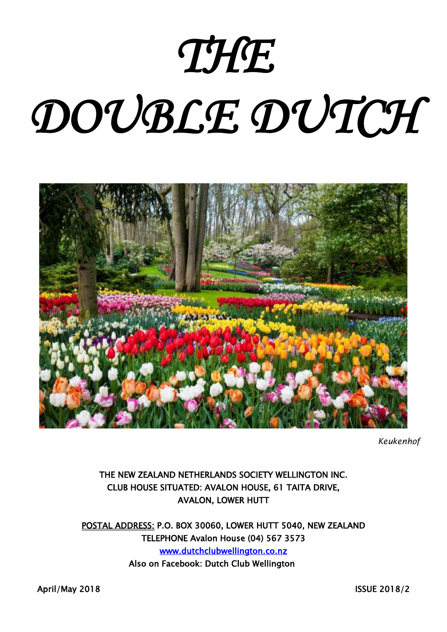# *THE*

# *DOUBLE DUTCH*



*Keukenhof*

# THE NEW ZEALAND NETHERLANDS SOCIETY WELLINGTON INC. CLUB HOUSE SITUATED: AVALON HOUSE, 61 TAITA DRIVE, AVALON, LOWER HUTT

POSTAL ADDRESS: P.O. BOX 30060, LOWER HUTT 5040, NEW ZEALAND TELEPHONE Avalon House (04) 567 3573 [www.dutchclubwellington.co.nz](http://www.dutchclubwellington.co.nz/)  Also on Facebook: Dutch Club Wellington

April/May 2018 **ISSUE 2018/2**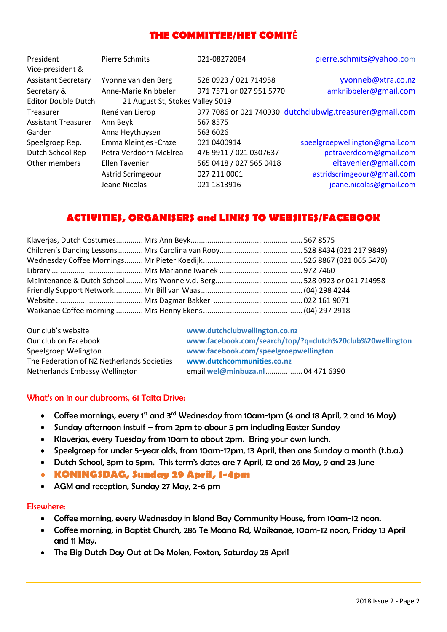# **THE COMMITTEE/HET COMITĖ**

| President                  | Pierre Schmits                   | 021-08272084             | pierre.schmits@yahoo.com                                |  |  |
|----------------------------|----------------------------------|--------------------------|---------------------------------------------------------|--|--|
| Vice-president &           |                                  |                          |                                                         |  |  |
| <b>Assistant Secretary</b> | Yvonne van den Berg              | 528 0923 / 021 714958    | yvonneb@xtra.co.nz                                      |  |  |
| Secretary &                | Anne-Marie Knibbeler             | 971 7571 or 027 951 5770 | amknibbeler@gmail.com                                   |  |  |
| <b>Editor Double Dutch</b> | 21 August St, Stokes Valley 5019 |                          |                                                         |  |  |
| Treasurer                  | René van Lierop                  |                          | 977 7086 or 021 740930 dutchclubwlg.treasurer@gmail.com |  |  |
| <b>Assistant Treasurer</b> | Ann Beyk                         | 5678575                  |                                                         |  |  |
| Garden                     | Anna Heythuysen                  | 563 6026                 |                                                         |  |  |
| Speelgroep Rep.            | Emma Kleintjes - Craze           | 021 0400914              | speelgroepwellington@gmail.com                          |  |  |
| Dutch School Rep           | Petra Verdoorn-McElrea           | 476 9911 / 021 0307637   | petraverdoorn@gmail.com                                 |  |  |
| Other members              | Ellen Tavenier                   | 565 0418 / 027 565 0418  | eltavenier@gmail.com                                    |  |  |
|                            | <b>Astrid Scrimgeour</b>         | 027 211 0001             | astridscrimgeour@gmail.com                              |  |  |
|                            | Jeane Nicolas                    | 021 1813916              | jeane.nicolas@gmail.com                                 |  |  |

# **ACTIVITIES, ORGANISERS and LINKS TO WEBSITES/FACEBOOK**

| Our club's website                         | www.dutchclubwellington.co.nz                            |
|--------------------------------------------|----------------------------------------------------------|
| Our club on Facebook                       | www.facebook.com/search/top/?q=dutch%20club%20wellington |
| Speelgroep Welington                       | www.facebook.com/speelgroepwellington                    |
| The Federation of NZ Netherlands Societies | www.dutchcommunities.co.nz                               |
| Netherlands Embassy Wellington             | email wel@minbuza.nl  04 471 6390                        |

#### What's on in our clubrooms, 61 Taita Drive:

- Coffee mornings, every 1<sup>st</sup> and 3<sup>rd</sup> Wednesday from 10am-1pm (4 and 18 April, 2 and 16 May)
- Sunday afternoon instuif from 2pm to abour 5 pm including Easter Sunday
- Klaverjas, every Tuesday from 10am to about 2pm. Bring your own lunch.
- Speelgroep for under 5-year olds, from 10am-12pm, 13 April, then one Sunday a month (t.b.a.)
- Dutch School, 3pm to 5pm. This term's dates are 7 April, 12 and 26 May, 9 and 23 June
- **KONINGSDAG, Sunday 29 April, 1-4pm**
- AGM and reception, Sunday 27 May, 2-6 pm

#### Elsewhere:

- Coffee morning, every Wednesday in Island Bay Community House, from 10am-12 noon.
- Coffee morning, in Baptist Church, 286 Te Moana Rd, Waikanae, 10am-12 noon, Friday 13 April and 11 May.
- The Big Dutch Day Out at De Molen, Foxton, Saturday 28 April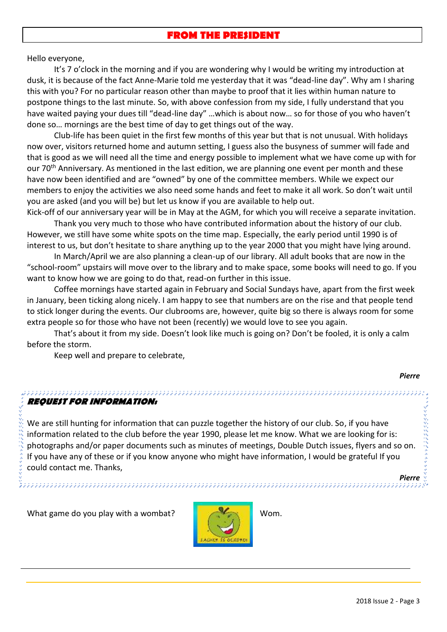### **FROM THE PRESIDENT**

Hello everyone,

It's 7 o'clock in the morning and if you are wondering why I would be writing my introduction at dusk, it is because of the fact Anne-Marie told me yesterday that it was "dead-line day". Why am I sharing this with you? For no particular reason other than maybe to proof that it lies within human nature to postpone things to the last minute. So, with above confession from my side, I fully understand that you have waited paying your dues till "dead-line day" …which is about now… so for those of you who haven't done so… mornings are the best time of day to get things out of the way.

Club-life has been quiet in the first few months of this year but that is not unusual. With holidays now over, visitors returned home and autumn setting, I guess also the busyness of summer will fade and that is good as we will need all the time and energy possible to implement what we have come up with for our 70<sup>th</sup> Anniversary. As mentioned in the last edition, we are planning one event per month and these have now been identified and are "owned" by one of the committee members. While we expect our members to enjoy the activities we also need some hands and feet to make it all work. So don't wait until you are asked (and you will be) but let us know if you are available to help out.

Kick-off of our anniversary year will be in May at the AGM, for which you will receive a separate invitation. Thank you very much to those who have contributed information about the history of our club. However, we still have some white spots on the time map. Especially, the early period until 1990 is of interest to us, but don't hesitate to share anything up to the year 2000 that you might have lying around.

In March/April we are also planning a clean-up of our library. All adult books that are now in the "school-room" upstairs will move over to the library and to make space, some books will need to go. If you want to know how we are going to do that, read-on further in this issue.

Coffee mornings have started again in February and Social Sundays have, apart from the first week in January, been ticking along nicely. I am happy to see that numbers are on the rise and that people tend to stick longer during the events. Our clubrooms are, however, quite big so there is always room for some extra people so for those who have not been (recently) we would love to see you again.

That's about it from my side. Doesn't look like much is going on? Don't be fooled, it is only a calm before the storm.

Keep well and prepare to celebrate,

#### **REQUEST FOR INFORMATION:**

We are still hunting for information that can puzzle together the history of our club. So, if you have information related to the club before the year 1990, please let me know. What we are looking for is: photographs and/or paper documents such as minutes of meetings, Double Dutch issues, flyers and so on. If you have any of these or if you know anyone who might have information, I would be grateful If you could contact me. Thanks,

What game do you play with a wombat? Wom.



*Pierre*

*Pierre*

111111199944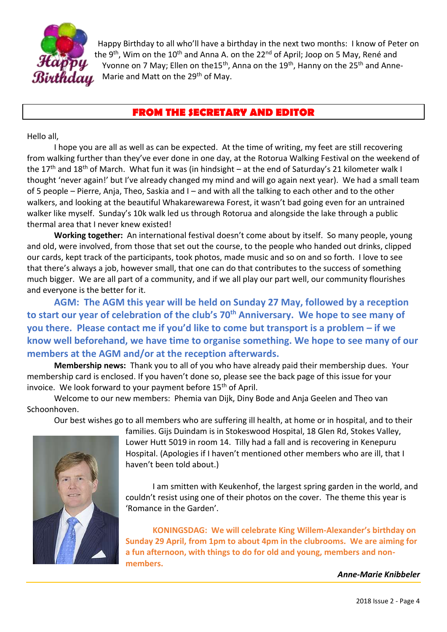

Happy Birthday to all who'll have a birthday in the next two months: I know of Peter on the 9<sup>th</sup>, Wim on the 10<sup>th</sup> and Anna A. on the 22<sup>nd</sup> of April; Joop on 5 May, René and Yvonne on 7 May; Ellen on the15<sup>th</sup>, Anna on the 19<sup>th</sup>, Hanny on the 25<sup>th</sup> and Anne-Marie and Matt on the 29<sup>th</sup> of May.

## **FROM THE SECRETARY AND EDITOR**

Hello all,

I hope you are all as well as can be expected. At the time of writing, my feet are still recovering from walking further than they've ever done in one day, at the Rotorua Walking Festival on the weekend of the 17<sup>th</sup> and 18<sup>th</sup> of March. What fun it was (in hindsight – at the end of Saturday's 21 kilometer walk I thought 'never again!' but I've already changed my mind and will go again next year). We had a small team of 5 people – Pierre, Anja, Theo, Saskia and I – and with all the talking to each other and to the other walkers, and looking at the beautiful Whakarewarewa Forest, it wasn't bad going even for an untrained walker like myself. Sunday's 10k walk led us through Rotorua and alongside the lake through a public thermal area that I never knew existed!

**Working together:** An international festival doesn't come about by itself. So many people, young and old, were involved, from those that set out the course, to the people who handed out drinks, clipped our cards, kept track of the participants, took photos, made music and so on and so forth. I love to see that there's always a job, however small, that one can do that contributes to the success of something much bigger. We are all part of a community, and if we all play our part well, our community flourishes and everyone is the better for it.

**AGM: The AGM this year will be held on Sunday 27 May, followed by a reception to start our year of celebration of the club's 70th Anniversary. We hope to see many of you there. Please contact me if you'd like to come but transport is a problem – if we know well beforehand, we have time to organise something. We hope to see many of our members at the AGM and/or at the reception afterwards.**

**Membership news:** Thank you to all of you who have already paid their membership dues. Your membership card is enclosed. If you haven't done so, please see the back page of this issue for your invoice. We look forward to your payment before  $15<sup>th</sup>$  of April.

Welcome to our new members: Phemia van Dijk, Diny Bode and Anja Geelen and Theo van Schoonhoven.

Our best wishes go to all members who are suffering ill health, at home or in hospital, and to their



families. Gijs Duindam is in Stokeswood Hospital, 18 Glen Rd, Stokes Valley, Lower Hutt 5019 in room 14. Tilly had a fall and is recovering in Kenepuru Hospital. (Apologies if I haven't mentioned other members who are ill, that I haven't been told about.)

I am smitten with Keukenhof, the largest spring garden in the world, and couldn't resist using one of their photos on the cover. The theme this year is 'Romance in the Garden'.

**KONINGSDAG: We will celebrate King Willem-Alexander's birthday on Sunday 29 April, from 1pm to about 4pm in the clubrooms. We are aiming for a fun afternoon, with things to do for old and young, members and nonmembers.** 

*Anne-Marie Knibbeler*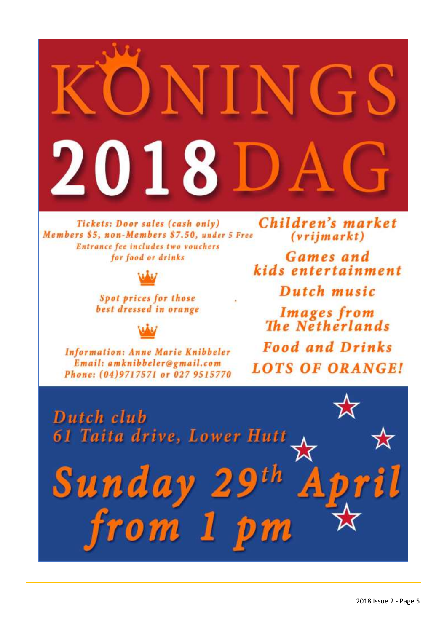

Spot prices for those best dressed in orange

**Information: Anne Marie Knibbeler** Email: amknibbeler@gmail.com Phone: (04)9717571 or 027 9515770 Dutch music

**Images from**<br>The Netherlands **Food and Drinks LOTS OF ORANGE!** 

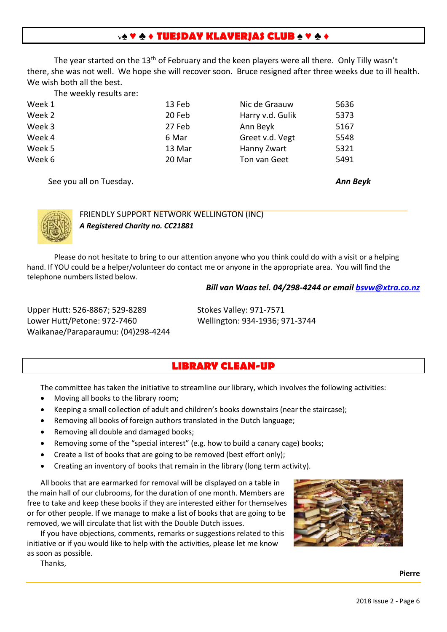#### v**♠ ♥ ♣ ♦ TUESDAY KLAVERJAS CLUB ♠ ♥ ♣ ♦**

The year started on the 13<sup>th</sup> of February and the keen players were all there. Only Tilly wasn't there, she was not well. We hope she will recover soon. Bruce resigned after three weeks due to ill health. We wish both all the best.

The weekly results are:

| Week 1 | 13 Feb | Nic de Graauw    | 5636 |
|--------|--------|------------------|------|
| Week 2 | 20 Feb | Harry v.d. Gulik | 5373 |
| Week 3 | 27 Feb | Ann Beyk         | 5167 |
| Week 4 | 6 Mar  | Greet v.d. Vegt  | 5548 |
| Week 5 | 13 Mar | Hanny Zwart      | 5321 |
| Week 6 | 20 Mar | Ton van Geet     | 5491 |
|        |        |                  |      |

See you all on Tuesday. *Ann Beyk*



FRIENDLY SUPPORT NETWORK WELLINGTON (INC) *A Registered Charity no. CC21881*

Please do not hesitate to bring to our attention anyone who you think could do with a visit or a helping hand. If YOU could be a helper/volunteer do contact me or anyone in the appropriate area. You will find the telephone numbers listed below.

#### *Bill van Waas tel. 04/298-4244 or email [bsvw@xtra.co.nz](mailto:bsvw@xtra.co.nz)*

Upper Hutt: 526-8867; 529-8289 Stokes Valley: 971-7571 Lower Hutt/Petone: 972-7460 Wellington: 934-1936; 971-3744 Waikanae/Paraparaumu: (04)298-4244

#### **LIBRARY CLEAN-UP**

The committee has taken the initiative to streamline our library, which involves the following activities:

- Moving all books to the library room;
- Keeping a small collection of adult and children's books downstairs (near the staircase);
- Removing all books of foreign authors translated in the Dutch language;
- Removing all double and damaged books;
- Removing some of the "special interest" (e.g. how to build a canary cage) books;
- Create a list of books that are going to be removed (best effort only);
- Creating an inventory of books that remain in the library (long term activity).

All books that are earmarked for removal will be displayed on a table in the main hall of our clubrooms, for the duration of one month. Members are free to take and keep these books if they are interested either for themselves or for other people. If we manage to make a list of books that are going to be removed, we will circulate that list with the Double Dutch issues.

If you have objections, comments, remarks or suggestions related to this initiative or if you would like to help with the activities, please let me know as soon as possible.



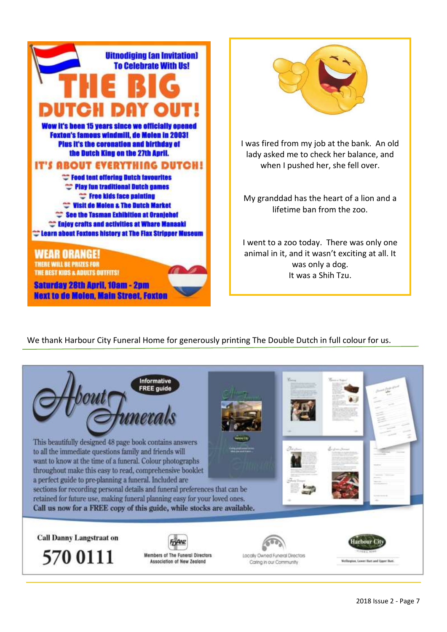

**Next to de Molen, Main Street, Foxton** 



I was fired from my job at the bank. An old lady asked me to check her balance, and when I pushed her, she fell over.

My granddad has the heart of a lion and a lifetime ban from the zoo.

I went to a zoo today. There was only one animal in it, and it wasn't exciting at all. It was only a dog. It was a Shih Tzu.

We thank Harbour City Funeral Home for generously printing The Double Dutch in full colour for us.